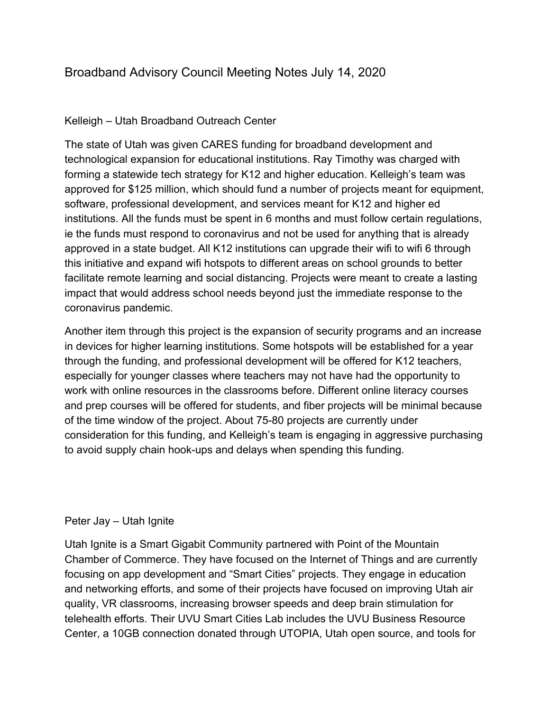# Broadband Advisory Council Meeting Notes July 14, 2020

# Kelleigh – Utah Broadband Outreach Center

The state of Utah was given CARES funding for broadband development and technological expansion for educational institutions. Ray Timothy was charged with forming a statewide tech strategy for K12 and higher education. Kelleigh's team was approved for \$125 million, which should fund a number of projects meant for equipment, software, professional development, and services meant for K12 and higher ed institutions. All the funds must be spent in 6 months and must follow certain regulations, ie the funds must respond to coronavirus and not be used for anything that is already approved in a state budget. All K12 institutions can upgrade their wifi to wifi 6 through this initiative and expand wifi hotspots to different areas on school grounds to better facilitate remote learning and social distancing. Projects were meant to create a lasting impact that would address school needs beyond just the immediate response to the coronavirus pandemic.

Another item through this project is the expansion of security programs and an increase in devices for higher learning institutions. Some hotspots will be established for a year through the funding, and professional development will be offered for K12 teachers, especially for younger classes where teachers may not have had the opportunity to work with online resources in the classrooms before. Different online literacy courses and prep courses will be offered for students, and fiber projects will be minimal because of the time window of the project. About 75-80 projects are currently under consideration for this funding, and Kelleigh's team is engaging in aggressive purchasing to avoid supply chain hook-ups and delays when spending this funding.

## Peter Jay – Utah Ignite

Utah Ignite is a Smart Gigabit Community partnered with Point of the Mountain Chamber of Commerce. They have focused on the Internet of Things and are currently focusing on app development and "Smart Cities" projects. They engage in education and networking efforts, and some of their projects have focused on improving Utah air quality, VR classrooms, increasing browser speeds and deep brain stimulation for telehealth efforts. Their UVU Smart Cities Lab includes the UVU Business Resource Center, a 10GB connection donated through UTOPIA, Utah open source, and tools for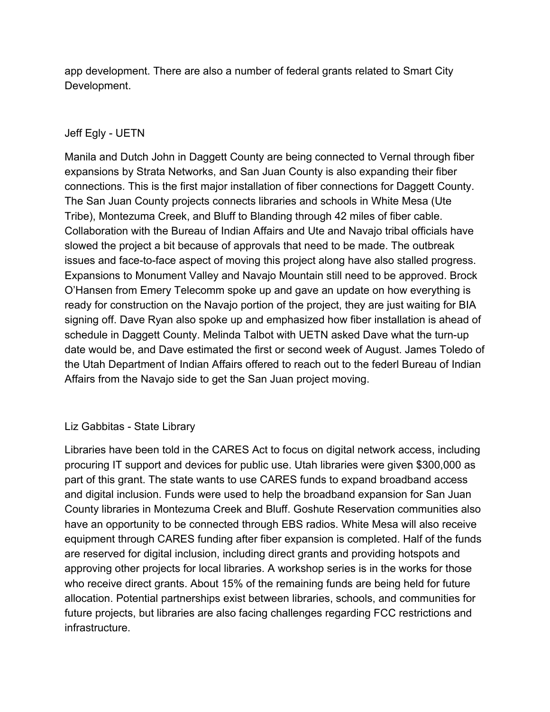app development. There are also a number of federal grants related to Smart City Development.

# Jeff Egly - UETN

Manila and Dutch John in Daggett County are being connected to Vernal through fiber expansions by Strata Networks, and San Juan County is also expanding their fiber connections. This is the first major installation of fiber connections for Daggett County. The San Juan County projects connects libraries and schools in White Mesa (Ute Tribe), Montezuma Creek, and Bluff to Blanding through 42 miles of fiber cable. Collaboration with the Bureau of Indian Affairs and Ute and Navajo tribal officials have slowed the project a bit because of approvals that need to be made. The outbreak issues and face-to-face aspect of moving this project along have also stalled progress. Expansions to Monument Valley and Navajo Mountain still need to be approved. Brock O'Hansen from Emery Telecomm spoke up and gave an update on how everything is ready for construction on the Navajo portion of the project, they are just waiting for BIA signing off. Dave Ryan also spoke up and emphasized how fiber installation is ahead of schedule in Daggett County. Melinda Talbot with UETN asked Dave what the turn-up date would be, and Dave estimated the first or second week of August. James Toledo of the Utah Department of Indian Affairs offered to reach out to the federl Bureau of Indian Affairs from the Navajo side to get the San Juan project moving.

## Liz Gabbitas - State Library

Libraries have been told in the CARES Act to focus on digital network access, including procuring IT support and devices for public use. Utah libraries were given \$300,000 as part of this grant. The state wants to use CARES funds to expand broadband access and digital inclusion. Funds were used to help the broadband expansion for San Juan County libraries in Montezuma Creek and Bluff. Goshute Reservation communities also have an opportunity to be connected through EBS radios. White Mesa will also receive equipment through CARES funding after fiber expansion is completed. Half of the funds are reserved for digital inclusion, including direct grants and providing hotspots and approving other projects for local libraries. A workshop series is in the works for those who receive direct grants. About 15% of the remaining funds are being held for future allocation. Potential partnerships exist between libraries, schools, and communities for future projects, but libraries are also facing challenges regarding FCC restrictions and infrastructure.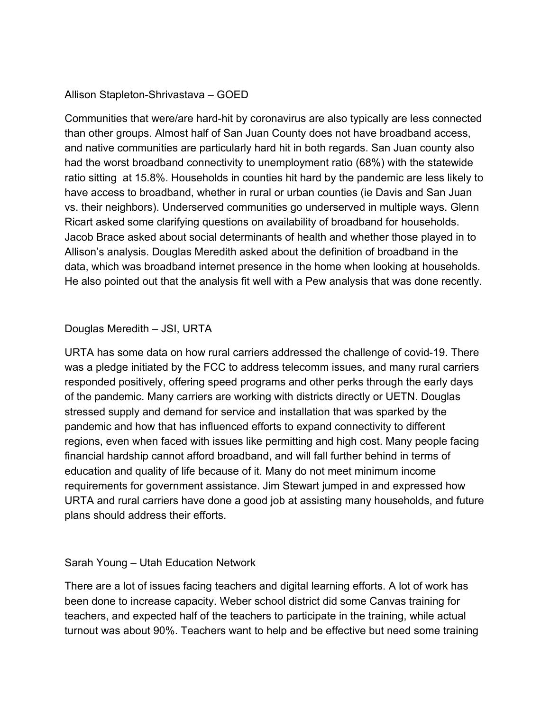#### Allison Stapleton-Shrivastava – GOED

Communities that were/are hard-hit by coronavirus are also typically are less connected than other groups. Almost half of San Juan County does not have broadband access, and native communities are particularly hard hit in both regards. San Juan county also had the worst broadband connectivity to unemployment ratio (68%) with the statewide ratio sitting at 15.8%. Households in counties hit hard by the pandemic are less likely to have access to broadband, whether in rural or urban counties (ie Davis and San Juan vs. their neighbors). Underserved communities go underserved in multiple ways. Glenn Ricart asked some clarifying questions on availability of broadband for households. Jacob Brace asked about social determinants of health and whether those played in to Allison's analysis. Douglas Meredith asked about the definition of broadband in the data, which was broadband internet presence in the home when looking at households. He also pointed out that the analysis fit well with a Pew analysis that was done recently.

#### Douglas Meredith – JSI, URTA

URTA has some data on how rural carriers addressed the challenge of covid-19. There was a pledge initiated by the FCC to address telecomm issues, and many rural carriers responded positively, offering speed programs and other perks through the early days of the pandemic. Many carriers are working with districts directly or UETN. Douglas stressed supply and demand for service and installation that was sparked by the pandemic and how that has influenced efforts to expand connectivity to different regions, even when faced with issues like permitting and high cost. Many people facing financial hardship cannot afford broadband, and will fall further behind in terms of education and quality of life because of it. Many do not meet minimum income requirements for government assistance. Jim Stewart jumped in and expressed how URTA and rural carriers have done a good job at assisting many households, and future plans should address their efforts.

#### Sarah Young – Utah Education Network

There are a lot of issues facing teachers and digital learning efforts. A lot of work has been done to increase capacity. Weber school district did some Canvas training for teachers, and expected half of the teachers to participate in the training, while actual turnout was about 90%. Teachers want to help and be effective but need some training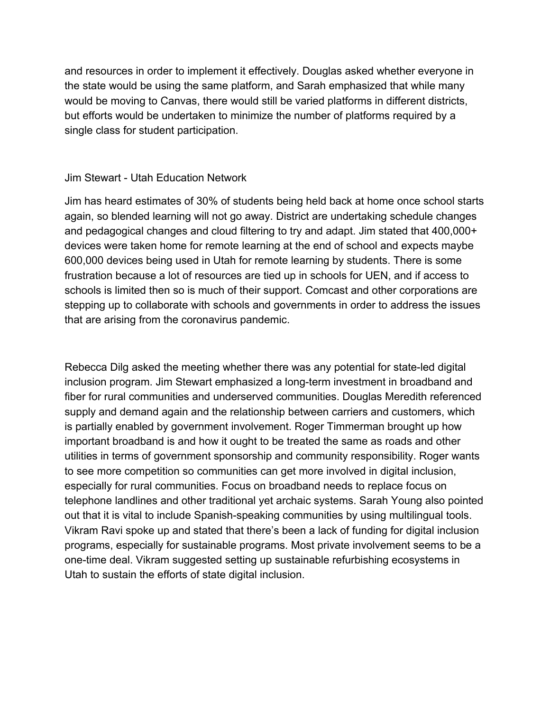and resources in order to implement it effectively. Douglas asked whether everyone in the state would be using the same platform, and Sarah emphasized that while many would be moving to Canvas, there would still be varied platforms in different districts, but efforts would be undertaken to minimize the number of platforms required by a single class for student participation.

#### Jim Stewart - Utah Education Network

Jim has heard estimates of 30% of students being held back at home once school starts again, so blended learning will not go away. District are undertaking schedule changes and pedagogical changes and cloud filtering to try and adapt. Jim stated that 400,000+ devices were taken home for remote learning at the end of school and expects maybe 600,000 devices being used in Utah for remote learning by students. There is some frustration because a lot of resources are tied up in schools for UEN, and if access to schools is limited then so is much of their support. Comcast and other corporations are stepping up to collaborate with schools and governments in order to address the issues that are arising from the coronavirus pandemic.

Rebecca Dilg asked the meeting whether there was any potential for state-led digital inclusion program. Jim Stewart emphasized a long-term investment in broadband and fiber for rural communities and underserved communities. Douglas Meredith referenced supply and demand again and the relationship between carriers and customers, which is partially enabled by government involvement. Roger Timmerman brought up how important broadband is and how it ought to be treated the same as roads and other utilities in terms of government sponsorship and community responsibility. Roger wants to see more competition so communities can get more involved in digital inclusion, especially for rural communities. Focus on broadband needs to replace focus on telephone landlines and other traditional yet archaic systems. Sarah Young also pointed out that it is vital to include Spanish-speaking communities by using multilingual tools. Vikram Ravi spoke up and stated that there's been a lack of funding for digital inclusion programs, especially for sustainable programs. Most private involvement seems to be a one-time deal. Vikram suggested setting up sustainable refurbishing ecosystems in Utah to sustain the efforts of state digital inclusion.